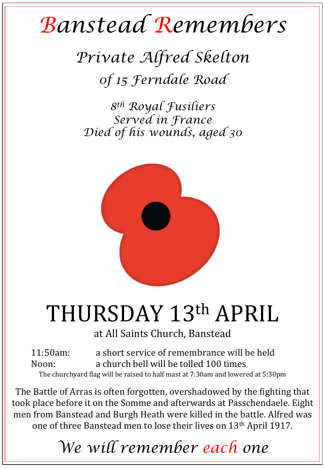## *Banstead Remembers*

*Private Alfred Skelton 0f 15 Ferndale Road* 

*8th Royal Fusiliers Served in France Died of his wounds, aged 30* 



## THURSDAY 13th APRIL

at All Saints Church, Banstead

11:50am: a short service of remembrance will be held Noon: a church bell will be tolled 100 times The churchyard flag will be raised to half mast at 7:30am and lowered at 5:30pm

The Battle of Arras is often forgotten, overshadowed by the fighting that took place before it on the Somme and afterwards at Passchendaele. Eight men from Banstead and Burgh Heath were killed in the battle. Alfred was one of three Banstead men to lose their lives on 13<sup>th</sup> April 1917.

*We will remember each one*